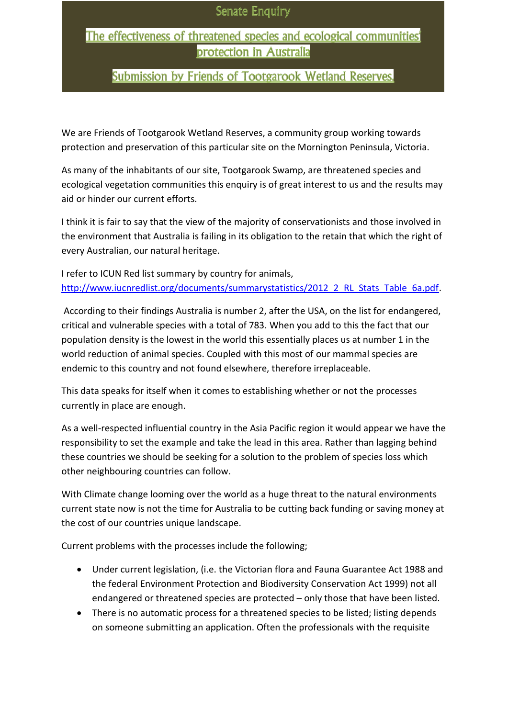## The effectiveness of threatened species and ecological communities' protection in Australia

# **Submission by Friends of Tootgarook Wetland Reserves.**

We are Friends of Tootgarook Wetland Reserves, a community group working towards protection and preservation of this particular site on the Mornington Peninsula, Victoria.

As many of the inhabitants of our site, Tootgarook Swamp, are threatened species and ecological vegetation communities this enquiry is of great interest to us and the results may aid or hinder our current efforts.

I think it is fair to say that the view of the majority of conservationists and those involved in the environment that Australia is failing in its obligation to the retain that which the right of every Australian, our natural heritage.

I refer to ICUN Red list summary by country for animals, [http://www.iucnredlist.org/documents/summarystatistics/2012\\_2\\_RL\\_Stats\\_Table\\_6a.pdf.](http://www.iucnredlist.org/documents/summarystatistics/2012_2_RL_Stats_Table_6a.pdf)

According to their findings Australia is number 2, after the USA, on the list for endangered, critical and vulnerable species with a total of 783. When you add to this the fact that our population density is the lowest in the world this essentially places us at number 1 in the world reduction of animal species. Coupled with this most of our mammal species are endemic to this country and not found elsewhere, therefore irreplaceable.

This data speaks for itself when it comes to establishing whether or not the processes currently in place are enough.

As a well-respected influential country in the Asia Pacific region it would appear we have the responsibility to set the example and take the lead in this area. Rather than lagging behind these countries we should be seeking for a solution to the problem of species loss which other neighbouring countries can follow.

With Climate change looming over the world as a huge threat to the natural environments current state now is not the time for Australia to be cutting back funding or saving money at the cost of our countries unique landscape.

Current problems with the processes include the following;

- Under current legislation, (i.e. the Victorian flora and Fauna Guarantee Act 1988 and the federal Environment Protection and Biodiversity Conservation Act 1999) not all endangered or threatened species are protected – only those that have been listed.
- There is no automatic process for a threatened species to be listed; listing depends on someone submitting an application. Often the professionals with the requisite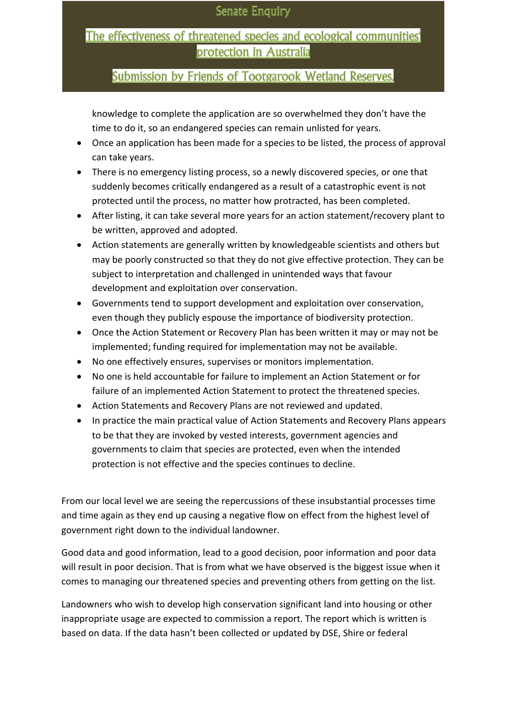## The effectiveness of threatened species and ecological communities' protection in Australia

### **Submission by Friends of Tootgarook Wetland Reserves.**

knowledge to complete the application are so overwhelmed they don't have the time to do it, so an endangered species can remain unlisted for years.

- Once an application has been made for a species to be listed, the process of approval can take years.
- There is no emergency listing process, so a newly discovered species, or one that suddenly becomes critically endangered as a result of a catastrophic event is not protected until the process, no matter how protracted, has been completed.
- After listing, it can take several more years for an action statement/recovery plant to be written, approved and adopted.
- Action statements are generally written by knowledgeable scientists and others but may be poorly constructed so that they do not give effective protection. They can be subject to interpretation and challenged in unintended ways that favour development and exploitation over conservation.
- Governments tend to support development and exploitation over conservation, even though they publicly espouse the importance of biodiversity protection.
- Once the Action Statement or Recovery Plan has been written it may or may not be implemented; funding required for implementation may not be available.
- No one effectively ensures, supervises or monitors implementation.
- No one is held accountable for failure to implement an Action Statement or for failure of an implemented Action Statement to protect the threatened species.
- Action Statements and Recovery Plans are not reviewed and updated.
- In practice the main practical value of Action Statements and Recovery Plans appears to be that they are invoked by vested interests, government agencies and governments to claim that species are protected, even when the intended protection is not effective and the species continues to decline.

From our local level we are seeing the repercussions of these insubstantial processes time and time again as they end up causing a negative flow on effect from the highest level of government right down to the individual landowner.

Good data and good information, lead to a good decision, poor information and poor data will result in poor decision. That is from what we have observed is the biggest issue when it comes to managing our threatened species and preventing others from getting on the list.

Landowners who wish to develop high conservation significant land into housing or other inappropriate usage are expected to commission a report. The report which is written is based on data. If the data hasn't been collected or updated by DSE, Shire or federal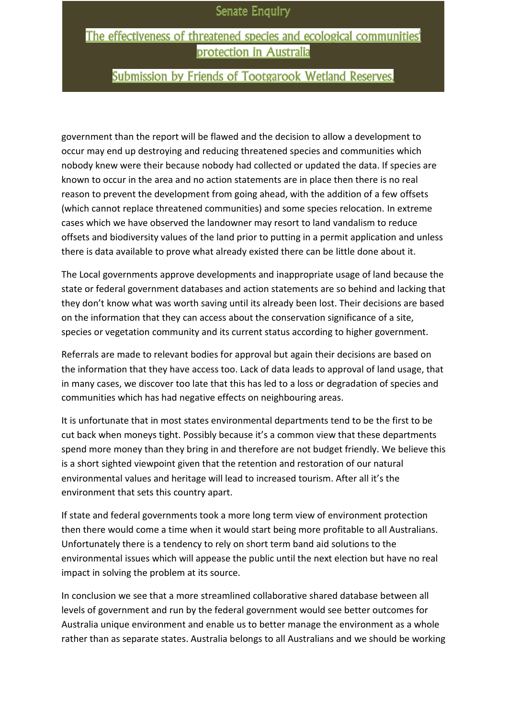### The effectiveness of threatened species and ecological communities' protection in Australia

# **Submission by Friends of Tootgarook Wetland Reserves.**

government than the report will be flawed and the decision to allow a development to occur may end up destroying and reducing threatened species and communities which nobody knew were their because nobody had collected or updated the data. If species are known to occur in the area and no action statements are in place then there is no real reason to prevent the development from going ahead, with the addition of a few offsets (which cannot replace threatened communities) and some species relocation. In extreme cases which we have observed the landowner may resort to land vandalism to reduce offsets and biodiversity values of the land prior to putting in a permit application and unless there is data available to prove what already existed there can be little done about it.

The Local governments approve developments and inappropriate usage of land because the state or federal government databases and action statements are so behind and lacking that they don't know what was worth saving until its already been lost. Their decisions are based on the information that they can access about the conservation significance of a site, species or vegetation community and its current status according to higher government.

Referrals are made to relevant bodies for approval but again their decisions are based on the information that they have access too. Lack of data leads to approval of land usage, that in many cases, we discover too late that this has led to a loss or degradation of species and communities which has had negative effects on neighbouring areas.

It is unfortunate that in most states environmental departments tend to be the first to be cut back when moneys tight. Possibly because it's a common view that these departments spend more money than they bring in and therefore are not budget friendly. We believe this is a short sighted viewpoint given that the retention and restoration of our natural environmental values and heritage will lead to increased tourism. After all it's the environment that sets this country apart.

If state and federal governments took a more long term view of environment protection then there would come a time when it would start being more profitable to all Australians. Unfortunately there is a tendency to rely on short term band aid solutions to the environmental issues which will appease the public until the next election but have no real impact in solving the problem at its source.

In conclusion we see that a more streamlined collaborative shared database between all levels of government and run by the federal government would see better outcomes for Australia unique environment and enable us to better manage the environment as a whole rather than as separate states. Australia belongs to all Australians and we should be working